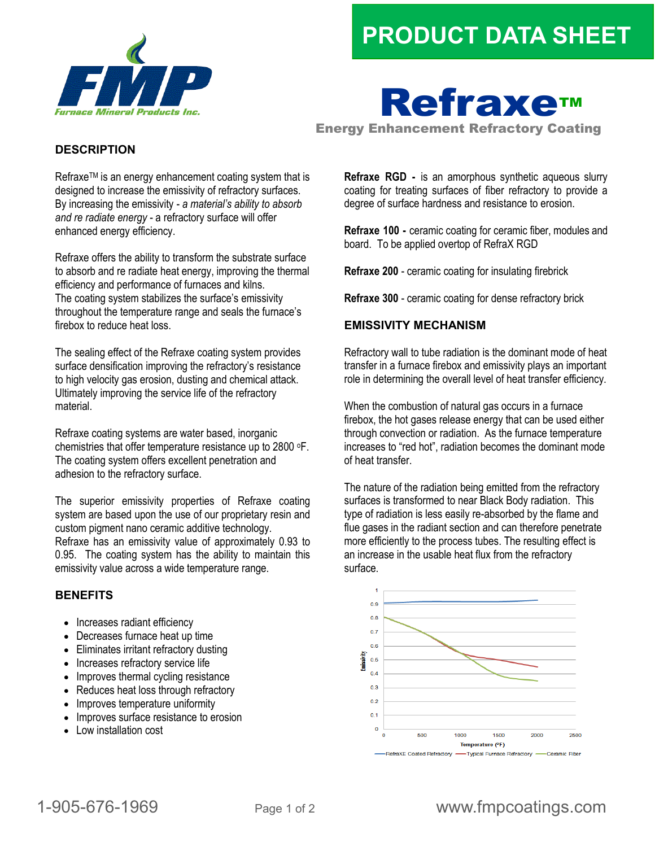## **PRODUCT DATA SHEET**



# Refraxe™

Energy Enhancement Refractory Coating

#### **DESCRIPTION**

Refraxe™ is an energy enhancement coating system that is designed to increase the emissivity of refractory surfaces. By increasing the emissivity - *a material's ability to absorb and re radiate energy* - a refractory surface will offer enhanced energy efficiency.

Refraxe offers the ability to transform the substrate surface to absorb and re radiate heat energy, improving the thermal efficiency and performance of furnaces and kilns. The coating system stabilizes the surface's emissivity throughout the temperature range and seals the furnace's firebox to reduce heat loss.

The sealing effect of the Refraxe coating system provides surface densification improving the refractory's resistance to high velocity gas erosion, dusting and chemical attack. Ultimately improving the service life of the refractory material.

Refraxe coating systems are water based, inorganic chemistries that offer temperature resistance up to 2800 oF. The coating system offers excellent penetration and adhesion to the refractory surface.

The superior emissivity properties of Refraxe coating system are based upon the use of our proprietary resin and custom pigment nano ceramic additive technology. Refraxe has an emissivity value of approximately 0.93 to 0.95. The coating system has the ability to maintain this emissivity value across a wide temperature range.

#### **BENEFITS**

- Increases radiant efficiency
- Decreases furnace heat up time
- Eliminates irritant refractory dusting
- Increases refractory service life
- Improves thermal cycling resistance
- Reduces heat loss through refractory
- Improves temperature uniformity
- Improves surface resistance to erosion
- Low installation cost

**Refraxe RGD -** is an amorphous synthetic aqueous slurry coating for treating surfaces of fiber refractory to provide a degree of surface hardness and resistance to erosion.

**Refraxe 100 -** ceramic coating for ceramic fiber, modules and board. To be applied overtop of RefraX RGD

**Refraxe 200** - ceramic coating for insulating firebrick

**Refraxe 300** - ceramic coating for dense refractory brick

#### **EMISSIVITY MECHANISM**

Refractory wall to tube radiation is the dominant mode of heat transfer in a furnace firebox and emissivity plays an important role in determining the overall level of heat transfer efficiency.

When the combustion of natural gas occurs in a furnace firebox, the hot gases release energy that can be used either through convection or radiation. As the furnace temperature increases to "red hot", radiation becomes the dominant mode of heat transfer.

The nature of the radiation being emitted from the refractory surfaces is transformed to near Black Body radiation. This type of radiation is less easily re-absorbed by the flame and flue gases in the radiant section and can therefore penetrate more efficiently to the process tubes. The resulting effect is an increase in the usable heat flux from the refractory surface.



### 1-905-676-1969 Page 1 of 2 www.fmpcoatings.com